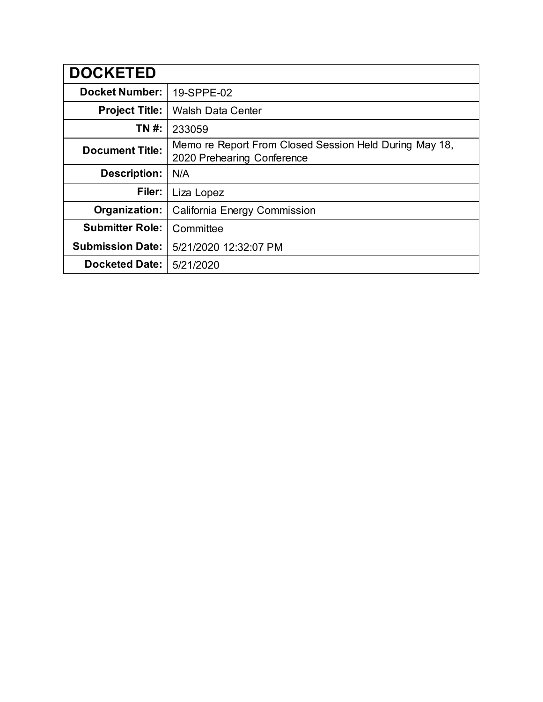| <b>DOCKETED</b>         |                                                                                      |
|-------------------------|--------------------------------------------------------------------------------------|
| <b>Docket Number:</b>   | 19-SPPE-02                                                                           |
| <b>Project Title:</b>   | <b>Walsh Data Center</b>                                                             |
| TN #:                   | 233059                                                                               |
| <b>Document Title:</b>  | Memo re Report From Closed Session Held During May 18,<br>2020 Prehearing Conference |
| <b>Description:</b>     | N/A                                                                                  |
| Filer:                  | Liza Lopez                                                                           |
| Organization:           | California Energy Commission                                                         |
| <b>Submitter Role:</b>  | Committee                                                                            |
| <b>Submission Date:</b> | 5/21/2020 12:32:07 PM                                                                |
| <b>Docketed Date:</b>   | 5/21/2020                                                                            |